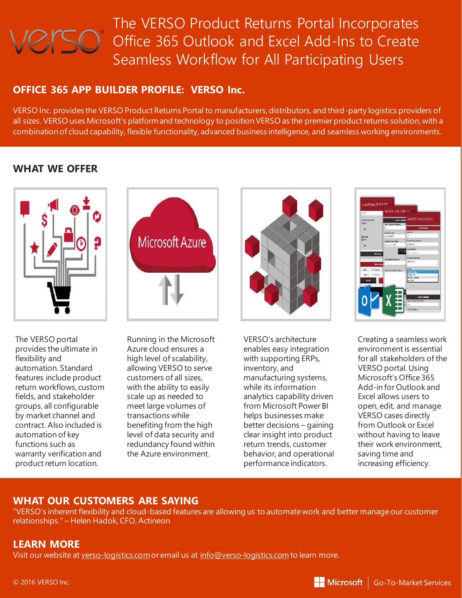# The VERSO Product Returns Portal Incorporates Office 365 Outlook and Excel Add-Ins to Create Seamless Workflow for All Participating Users

# **OFFICE 365 APP BUILDER PROFILE: VERSO Inc.**

VERSO Inc. provides the VERSO Product Returns Portal to manufacturers, distributors, and third-party logistics providers of all sizes. VERSO uses Microsoft's platform and technology to position VERSO as the premier product returns solution, with a combination of cloud capability, flexible functionality, advanced business intelligence, and seamless working environments.

# **WHAT WE OFFER**



**Microsoft Azure** 

The VERSO portal provides the ultimate in flexibility and automation. Standard features include product return workflows, custom fields, and stakeholder groups, all configurable by market channel and contract. Also included is automation of key functions such as warranty verification and product return location.

Running in the Microsoft Azure cloud ensures a high level of scalability, allowing VERSO to serve customers of all sizes, with the ability to easily scale up as needed to meet large volumes of transactions while benefiting from the high level of data security and redundancy found within the Azure environment.



VERSO's architecture enables easy integration with supporting ERPs, inventory, and manufacturing systems, while its information analytics capability driven from Microsoft Power BI helps businesses make better decisions – gaining clear insight into product return trends, customer behavior, and operational performance indicators.



Creating a seamless work environment is essential for all stakeholders of the VERSO portal. Using Microsoft's Office 365 Add-in for Outlook and Excel allows users to open, edit, and manage VERSO cases directly from Outlook or Excel without having to leave their work environment, saving time and increasing efficiency.

# **WHAT OUR CUSTOMERS ARE SAYING**

"VERSO's inherent flexibility and cloud-based features are allowing us to automate work and better manage our customer relationships." – Helen Hadok, CFO, Actineon

# **LEARN MORE**

Visit our website at [verso-logistics.com](https://verso-logistics.com/)or email us at [info@verso-logistics.com](mailto:info@verso-logistics.com) to learn more.